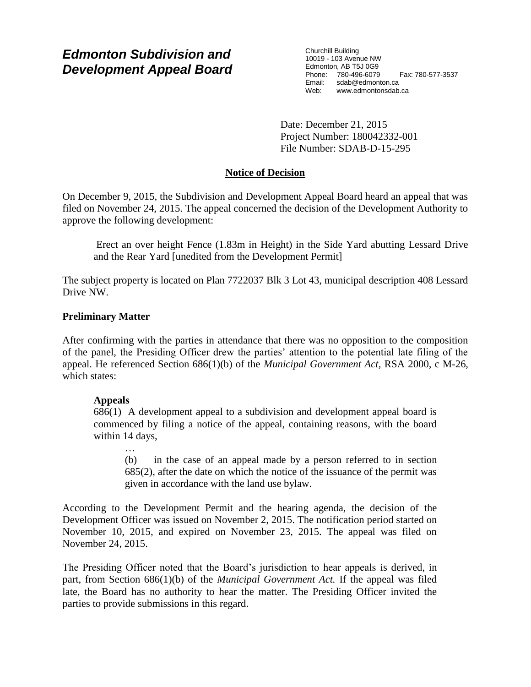# *Edmonton Subdivision and Development Appeal Board*

Churchill Building 10019 - 103 Avenue NW Edmonton, AB T5J 0G9 Phone: 780-496-6079 Fax: 780-577-3537 Email: sdab@edmonton.ca<br>Web: www.edmontonsdab Web: www.edmontonsdab.ca

Date: December 21, 2015 Project Number: 180042332-001 File Number: SDAB-D-15-295

# **Notice of Decision**

On December 9, 2015, the Subdivision and Development Appeal Board heard an appeal that was filed on November 24, 2015. The appeal concerned the decision of the Development Authority to approve the following development:

Erect an over height Fence (1.83m in Height) in the Side Yard abutting Lessard Drive and the Rear Yard [unedited from the Development Permit]

The subject property is located on Plan 7722037 Blk 3 Lot 43, municipal description 408 Lessard Drive NW.

# **Preliminary Matter**

After confirming with the parties in attendance that there was no opposition to the composition of the panel, the Presiding Officer drew the parties' attention to the potential late filing of the appeal. He referenced Section 686(1)(b) of the *Municipal Government Act,* RSA 2000, c M-26, which states:

# **Appeals**

686(1) A development appeal to a subdivision and development appeal board is commenced by filing a notice of the appeal, containing reasons, with the board within 14 days,

… (b) in the case of an appeal made by a person referred to in section 685(2), after the date on which the notice of the issuance of the permit was given in accordance with the land use bylaw.

According to the Development Permit and the hearing agenda, the decision of the Development Officer was issued on November 2, 2015. The notification period started on November 10, 2015, and expired on November 23, 2015. The appeal was filed on November 24, 2015.

The Presiding Officer noted that the Board's jurisdiction to hear appeals is derived, in part, from Section 686(1)(b) of the *Municipal Government Act.* If the appeal was filed late, the Board has no authority to hear the matter. The Presiding Officer invited the parties to provide submissions in this regard.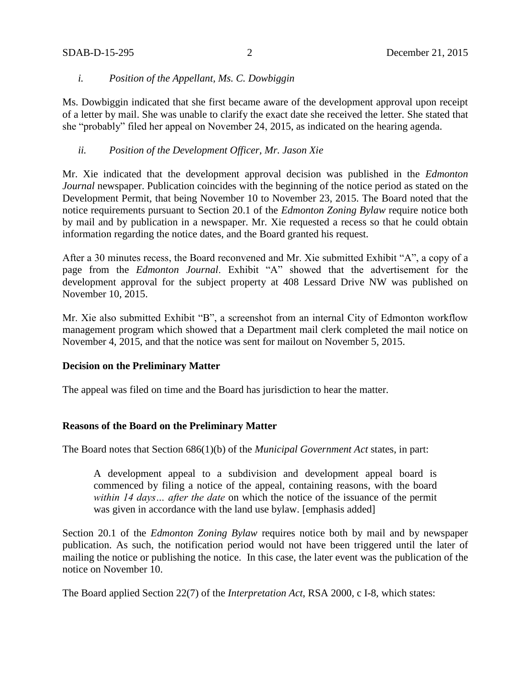# *i. Position of the Appellant, Ms. C. Dowbiggin*

Ms. Dowbiggin indicated that she first became aware of the development approval upon receipt of a letter by mail. She was unable to clarify the exact date she received the letter. She stated that she "probably" filed her appeal on November 24, 2015, as indicated on the hearing agenda.

# *ii. Position of the Development Officer, Mr. Jason Xie*

Mr. Xie indicated that the development approval decision was published in the *Edmonton Journal* newspaper. Publication coincides with the beginning of the notice period as stated on the Development Permit, that being November 10 to November 23, 2015. The Board noted that the notice requirements pursuant to Section 20.1 of the *Edmonton Zoning Bylaw* require notice both by mail and by publication in a newspaper. Mr. Xie requested a recess so that he could obtain information regarding the notice dates, and the Board granted his request.

After a 30 minutes recess, the Board reconvened and Mr. Xie submitted Exhibit "A", a copy of a page from the *Edmonton Journal*. Exhibit "A" showed that the advertisement for the development approval for the subject property at 408 Lessard Drive NW was published on November 10, 2015.

Mr. Xie also submitted Exhibit "B", a screenshot from an internal City of Edmonton workflow management program which showed that a Department mail clerk completed the mail notice on November 4, 2015, and that the notice was sent for mailout on November 5, 2015.

### **Decision on the Preliminary Matter**

The appeal was filed on time and the Board has jurisdiction to hear the matter.

# **Reasons of the Board on the Preliminary Matter**

The Board notes that Section 686(1)(b) of the *Municipal Government Act* states, in part:

A development appeal to a subdivision and development appeal board is commenced by filing a notice of the appeal, containing reasons, with the board *within 14 days… after the date* on which the notice of the issuance of the permit was given in accordance with the land use bylaw. [emphasis added]

Section 20.1 of the *Edmonton Zoning Bylaw* requires notice both by mail and by newspaper publication. As such, the notification period would not have been triggered until the later of mailing the notice or publishing the notice. In this case, the later event was the publication of the notice on November 10.

The Board applied Section 22(7) of the *Interpretation Act*, RSA 2000, c I-8, which states: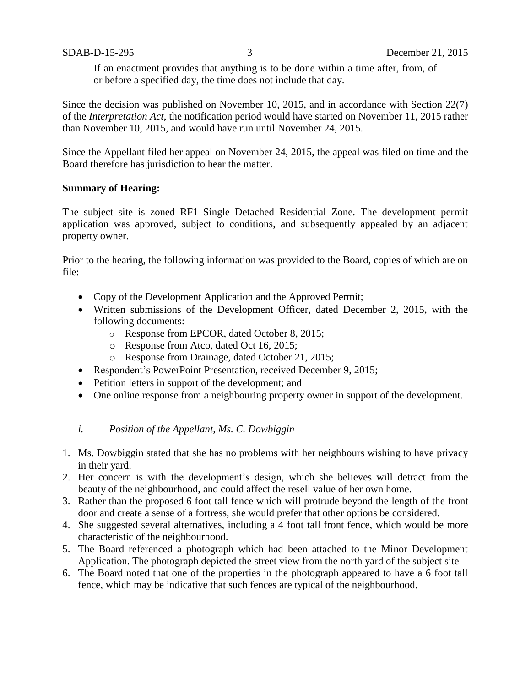If an enactment provides that anything is to be done within a time after, from, of or before a specified day, the time does not include that day.

Since the decision was published on November 10, 2015, and in accordance with Section 22(7) of the *Interpretation Act*, the notification period would have started on November 11, 2015 rather than November 10, 2015, and would have run until November 24, 2015.

Since the Appellant filed her appeal on November 24, 2015, the appeal was filed on time and the Board therefore has jurisdiction to hear the matter.

## **Summary of Hearing:**

The subject site is zoned RF1 Single Detached Residential Zone. The development permit application was approved, subject to conditions, and subsequently appealed by an adjacent property owner.

Prior to the hearing, the following information was provided to the Board, copies of which are on file:

- Copy of the Development Application and the Approved Permit;
- Written submissions of the Development Officer, dated December 2, 2015, with the following documents:
	- o Response from EPCOR, dated October 8, 2015;
	- o Response from Atco, dated Oct 16, 2015;
	- o Response from Drainage, dated October 21, 2015;
- Respondent's PowerPoint Presentation, received December 9, 2015;
- Petition letters in support of the development; and
- One online response from a neighbouring property owner in support of the development.

# *i. Position of the Appellant, Ms. C. Dowbiggin*

- 1. Ms. Dowbiggin stated that she has no problems with her neighbours wishing to have privacy in their yard.
- 2. Her concern is with the development's design, which she believes will detract from the beauty of the neighbourhood, and could affect the resell value of her own home.
- 3. Rather than the proposed 6 foot tall fence which will protrude beyond the length of the front door and create a sense of a fortress, she would prefer that other options be considered.
- 4. She suggested several alternatives, including a 4 foot tall front fence, which would be more characteristic of the neighbourhood.
- 5. The Board referenced a photograph which had been attached to the Minor Development Application. The photograph depicted the street view from the north yard of the subject site
- 6. The Board noted that one of the properties in the photograph appeared to have a 6 foot tall fence, which may be indicative that such fences are typical of the neighbourhood.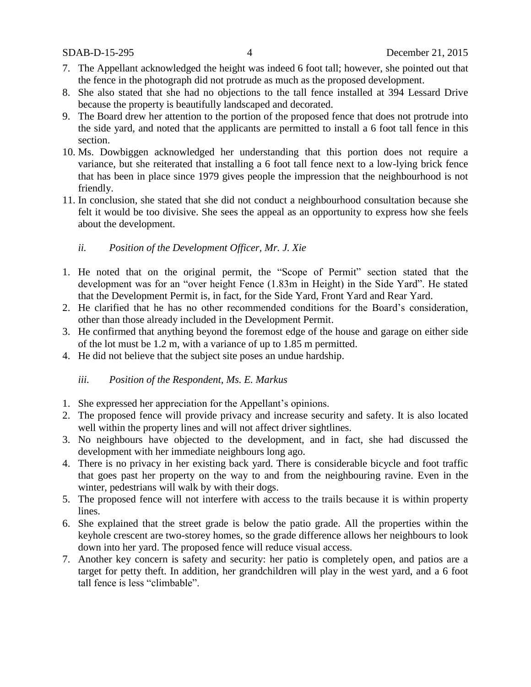- 7. The Appellant acknowledged the height was indeed 6 foot tall; however, she pointed out that the fence in the photograph did not protrude as much as the proposed development.
- 8. She also stated that she had no objections to the tall fence installed at 394 Lessard Drive because the property is beautifully landscaped and decorated.
- 9. The Board drew her attention to the portion of the proposed fence that does not protrude into the side yard, and noted that the applicants are permitted to install a 6 foot tall fence in this section.
- 10. Ms. Dowbiggen acknowledged her understanding that this portion does not require a variance, but she reiterated that installing a 6 foot tall fence next to a low-lying brick fence that has been in place since 1979 gives people the impression that the neighbourhood is not friendly.
- 11. In conclusion, she stated that she did not conduct a neighbourhood consultation because she felt it would be too divisive. She sees the appeal as an opportunity to express how she feels about the development.

# *ii. Position of the Development Officer, Mr. J. Xie*

- 1. He noted that on the original permit, the "Scope of Permit" section stated that the development was for an "over height Fence (1.83m in Height) in the Side Yard". He stated that the Development Permit is, in fact, for the Side Yard, Front Yard and Rear Yard.
- 2. He clarified that he has no other recommended conditions for the Board's consideration, other than those already included in the Development Permit.
- 3. He confirmed that anything beyond the foremost edge of the house and garage on either side of the lot must be 1.2 m, with a variance of up to 1.85 m permitted.
- 4. He did not believe that the subject site poses an undue hardship.

# *iii. Position of the Respondent, Ms. E. Markus*

- 1. She expressed her appreciation for the Appellant's opinions.
- 2. The proposed fence will provide privacy and increase security and safety. It is also located well within the property lines and will not affect driver sightlines.
- 3. No neighbours have objected to the development, and in fact, she had discussed the development with her immediate neighbours long ago.
- 4. There is no privacy in her existing back yard. There is considerable bicycle and foot traffic that goes past her property on the way to and from the neighbouring ravine. Even in the winter, pedestrians will walk by with their dogs.
- 5. The proposed fence will not interfere with access to the trails because it is within property lines.
- 6. She explained that the street grade is below the patio grade. All the properties within the keyhole crescent are two-storey homes, so the grade difference allows her neighbours to look down into her yard. The proposed fence will reduce visual access.
- 7. Another key concern is safety and security: her patio is completely open, and patios are a target for petty theft. In addition, her grandchildren will play in the west yard, and a 6 foot tall fence is less "climbable".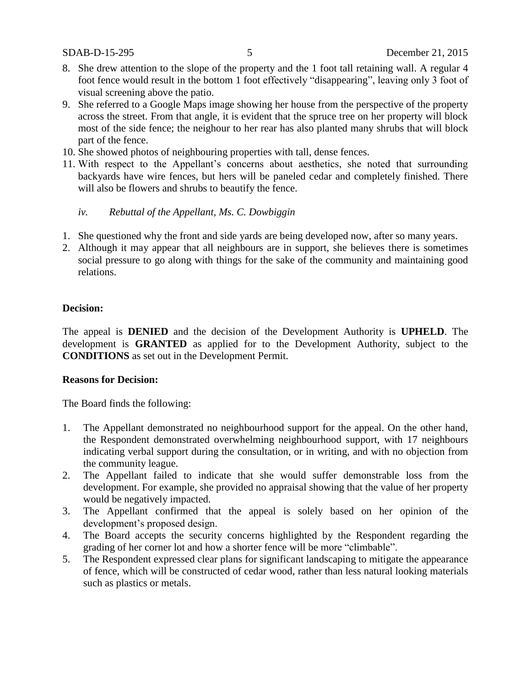- 8. She drew attention to the slope of the property and the 1 foot tall retaining wall. A regular 4 foot fence would result in the bottom 1 foot effectively "disappearing", leaving only 3 foot of visual screening above the patio.
- 9. She referred to a Google Maps image showing her house from the perspective of the property across the street. From that angle, it is evident that the spruce tree on her property will block most of the side fence; the neighour to her rear has also planted many shrubs that will block part of the fence.
- 10. She showed photos of neighbouring properties with tall, dense fences.
- 11. With respect to the Appellant's concerns about aesthetics, she noted that surrounding backyards have wire fences, but hers will be paneled cedar and completely finished. There will also be flowers and shrubs to beautify the fence.

## *iv. Rebuttal of the Appellant, Ms. C. Dowbiggin*

- 1. She questioned why the front and side yards are being developed now, after so many years.
- 2. Although it may appear that all neighbours are in support, she believes there is sometimes social pressure to go along with things for the sake of the community and maintaining good relations.

### **Decision:**

The appeal is **DENIED** and the decision of the Development Authority is **UPHELD**. The development is **GRANTED** as applied for to the Development Authority, subject to the **CONDITIONS** as set out in the Development Permit.

### **Reasons for Decision:**

The Board finds the following:

- 1. The Appellant demonstrated no neighbourhood support for the appeal. On the other hand, the Respondent demonstrated overwhelming neighbourhood support, with 17 neighbours indicating verbal support during the consultation, or in writing, and with no objection from the community league.
- 2. The Appellant failed to indicate that she would suffer demonstrable loss from the development. For example, she provided no appraisal showing that the value of her property would be negatively impacted.
- 3. The Appellant confirmed that the appeal is solely based on her opinion of the development's proposed design.
- 4. The Board accepts the security concerns highlighted by the Respondent regarding the grading of her corner lot and how a shorter fence will be more "climbable".
- 5. The Respondent expressed clear plans for significant landscaping to mitigate the appearance of fence, which will be constructed of cedar wood, rather than less natural looking materials such as plastics or metals.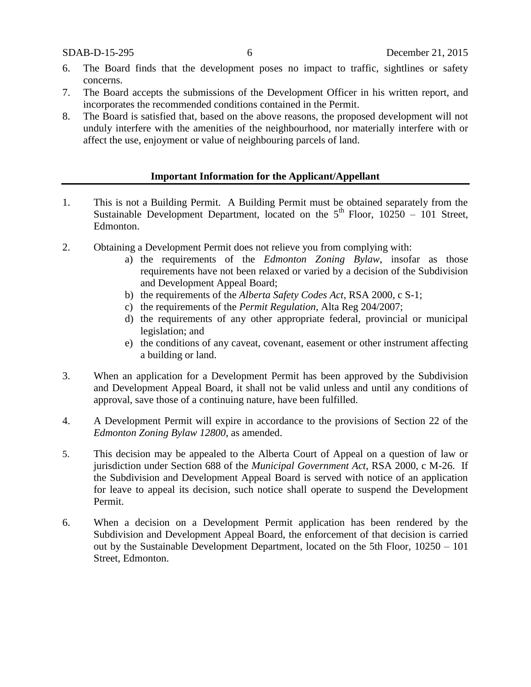- 6. The Board finds that the development poses no impact to traffic, sightlines or safety concerns.
- 7. The Board accepts the submissions of the Development Officer in his written report, and incorporates the recommended conditions contained in the Permit.
- 8. The Board is satisfied that, based on the above reasons, the proposed development will not unduly interfere with the amenities of the neighbourhood, nor materially interfere with or affect the use, enjoyment or value of neighbouring parcels of land.

### **Important Information for the Applicant/Appellant**

- 1. This is not a Building Permit. A Building Permit must be obtained separately from the Sustainable Development Department, located on the  $5<sup>th</sup>$  Floor, 10250 – 101 Street, Edmonton.
- 2. Obtaining a Development Permit does not relieve you from complying with:
	- a) the requirements of the *Edmonton Zoning Bylaw*, insofar as those requirements have not been relaxed or varied by a decision of the Subdivision and Development Appeal Board;
	- b) the requirements of the *Alberta Safety Codes Act*, RSA 2000, c S-1;
	- c) the requirements of the *Permit Regulation*, Alta Reg 204/2007;
	- d) the requirements of any other appropriate federal, provincial or municipal legislation; and
	- e) the conditions of any caveat, covenant, easement or other instrument affecting a building or land.
- 3. When an application for a Development Permit has been approved by the Subdivision and Development Appeal Board, it shall not be valid unless and until any conditions of approval, save those of a continuing nature, have been fulfilled.
- 4. A Development Permit will expire in accordance to the provisions of Section 22 of the *Edmonton Zoning Bylaw 12800*, as amended.
- 5. This decision may be appealed to the Alberta Court of Appeal on a question of law or jurisdiction under Section 688 of the *Municipal Government Act*, RSA 2000, c M-26. If the Subdivision and Development Appeal Board is served with notice of an application for leave to appeal its decision, such notice shall operate to suspend the Development Permit.
- 6. When a decision on a Development Permit application has been rendered by the Subdivision and Development Appeal Board, the enforcement of that decision is carried out by the Sustainable Development Department, located on the 5th Floor, 10250 – 101 Street, Edmonton.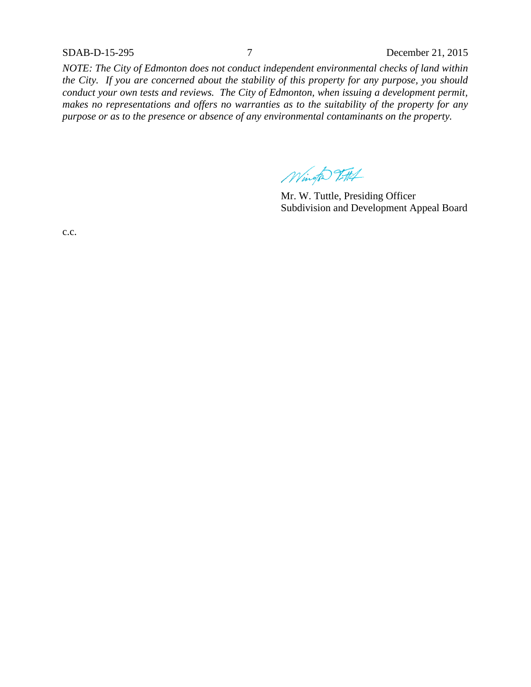SDAB-D-15-295 7 December 21, 2015

*NOTE: The City of Edmonton does not conduct independent environmental checks of land within the City. If you are concerned about the stability of this property for any purpose, you should conduct your own tests and reviews. The City of Edmonton, when issuing a development permit, makes no representations and offers no warranties as to the suitability of the property for any purpose or as to the presence or absence of any environmental contaminants on the property.*

Wingto 7-714

Mr. W. Tuttle, Presiding Officer Subdivision and Development Appeal Board

c.c.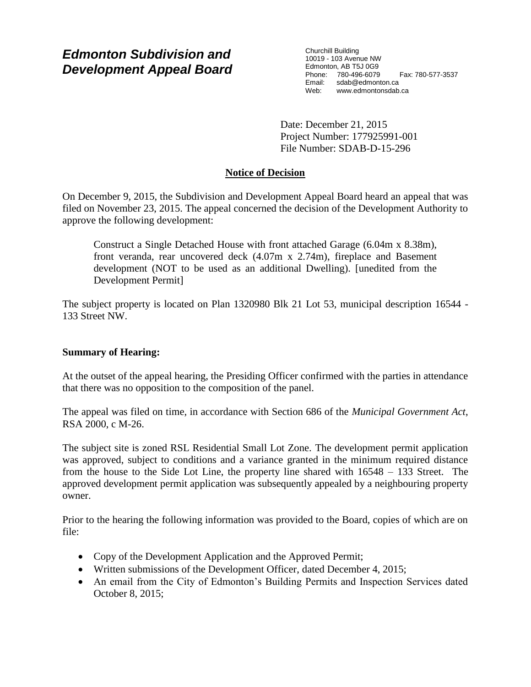# *Edmonton Subdivision and Development Appeal Board*

Churchill Building 10019 - 103 Avenue NW Edmonton, AB T5J 0G9 Phone: 780-496-6079 Fax: 780-577-3537 Email: sdab@edmonton.ca<br>Web: www.edmonton.ca Web: www.edmontonsdab.ca

Date: December 21, 2015 Project Number: 177925991-001 File Number: SDAB-D-15-296

# **Notice of Decision**

On December 9, 2015, the Subdivision and Development Appeal Board heard an appeal that was filed on November 23, 2015. The appeal concerned the decision of the Development Authority to approve the following development:

Construct a Single Detached House with front attached Garage (6.04m x 8.38m), front veranda, rear uncovered deck (4.07m x 2.74m), fireplace and Basement development (NOT to be used as an additional Dwelling). [unedited from the Development Permit]

The subject property is located on Plan 1320980 Blk 21 Lot 53, municipal description 16544 - 133 Street NW.

# **Summary of Hearing:**

At the outset of the appeal hearing, the Presiding Officer confirmed with the parties in attendance that there was no opposition to the composition of the panel.

The appeal was filed on time, in accordance with Section 686 of the *Municipal Government Act*, RSA 2000, c M-26.

The subject site is zoned RSL Residential Small Lot Zone. The development permit application was approved, subject to conditions and a variance granted in the minimum required distance from the house to the Side Lot Line, the property line shared with 16548 – 133 Street. The approved development permit application was subsequently appealed by a neighbouring property owner.

Prior to the hearing the following information was provided to the Board, copies of which are on file:

- Copy of the Development Application and the Approved Permit;
- Written submissions of the Development Officer, dated December 4, 2015;
- An email from the City of Edmonton's Building Permits and Inspection Services dated October 8, 2015;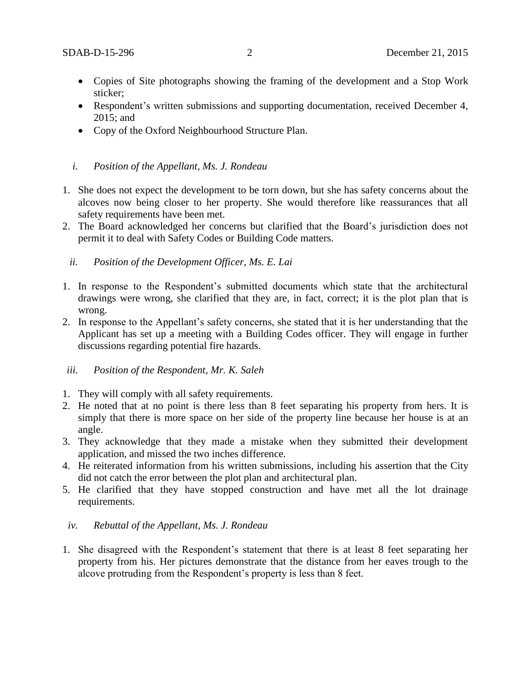- Copies of Site photographs showing the framing of the development and a Stop Work sticker;
- Respondent's written submissions and supporting documentation, received December 4, 2015; and
- Copy of the Oxford Neighbourhood Structure Plan.

## *i. Position of the Appellant, Ms. J. Rondeau*

- 1. She does not expect the development to be torn down, but she has safety concerns about the alcoves now being closer to her property. She would therefore like reassurances that all safety requirements have been met.
- 2. The Board acknowledged her concerns but clarified that the Board's jurisdiction does not permit it to deal with Safety Codes or Building Code matters.
	- *ii. Position of the Development Officer, Ms. E. Lai*
- 1. In response to the Respondent's submitted documents which state that the architectural drawings were wrong, she clarified that they are, in fact, correct; it is the plot plan that is wrong.
- 2. In response to the Appellant's safety concerns, she stated that it is her understanding that the Applicant has set up a meeting with a Building Codes officer. They will engage in further discussions regarding potential fire hazards.

### *iii. Position of the Respondent, Mr. K. Saleh*

- 1. They will comply with all safety requirements.
- 2. He noted that at no point is there less than 8 feet separating his property from hers. It is simply that there is more space on her side of the property line because her house is at an angle.
- 3. They acknowledge that they made a mistake when they submitted their development application, and missed the two inches difference.
- 4. He reiterated information from his written submissions, including his assertion that the City did not catch the error between the plot plan and architectural plan.
- 5. He clarified that they have stopped construction and have met all the lot drainage requirements.

# *iv. Rebuttal of the Appellant, Ms. J. Rondeau*

1. She disagreed with the Respondent's statement that there is at least 8 feet separating her property from his. Her pictures demonstrate that the distance from her eaves trough to the alcove protruding from the Respondent's property is less than 8 feet.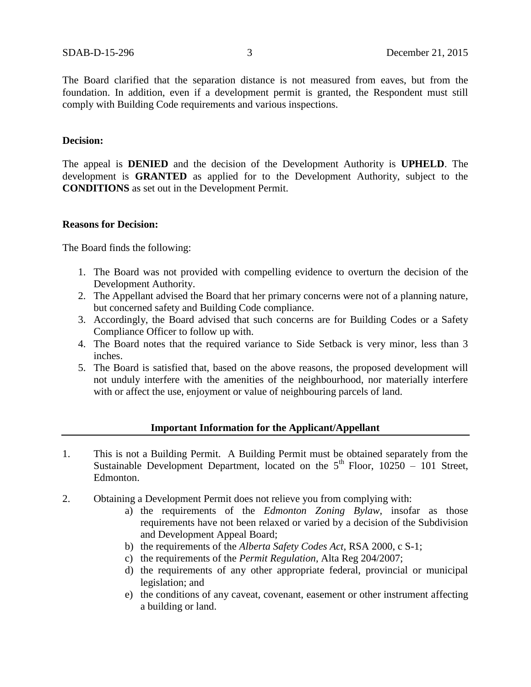The Board clarified that the separation distance is not measured from eaves, but from the foundation. In addition, even if a development permit is granted, the Respondent must still comply with Building Code requirements and various inspections.

## **Decision:**

The appeal is **DENIED** and the decision of the Development Authority is **UPHELD**. The development is **GRANTED** as applied for to the Development Authority, subject to the **CONDITIONS** as set out in the Development Permit.

### **Reasons for Decision:**

The Board finds the following:

- 1. The Board was not provided with compelling evidence to overturn the decision of the Development Authority.
- 2. The Appellant advised the Board that her primary concerns were not of a planning nature, but concerned safety and Building Code compliance.
- 3. Accordingly, the Board advised that such concerns are for Building Codes or a Safety Compliance Officer to follow up with.
- 4. The Board notes that the required variance to Side Setback is very minor, less than 3 inches.
- 5. The Board is satisfied that, based on the above reasons, the proposed development will not unduly interfere with the amenities of the neighbourhood, nor materially interfere with or affect the use, enjoyment or value of neighbouring parcels of land.

# **Important Information for the Applicant/Appellant**

- 1. This is not a Building Permit. A Building Permit must be obtained separately from the Sustainable Development Department, located on the  $5<sup>th</sup>$  Floor, 10250 – 101 Street, Edmonton.
- 2. Obtaining a Development Permit does not relieve you from complying with:
	- a) the requirements of the *Edmonton Zoning Bylaw*, insofar as those requirements have not been relaxed or varied by a decision of the Subdivision and Development Appeal Board;
	- b) the requirements of the *Alberta Safety Codes Act*, RSA 2000, c S-1;
	- c) the requirements of the *Permit Regulation*, Alta Reg 204/2007;
	- d) the requirements of any other appropriate federal, provincial or municipal legislation; and
	- e) the conditions of any caveat, covenant, easement or other instrument affecting a building or land.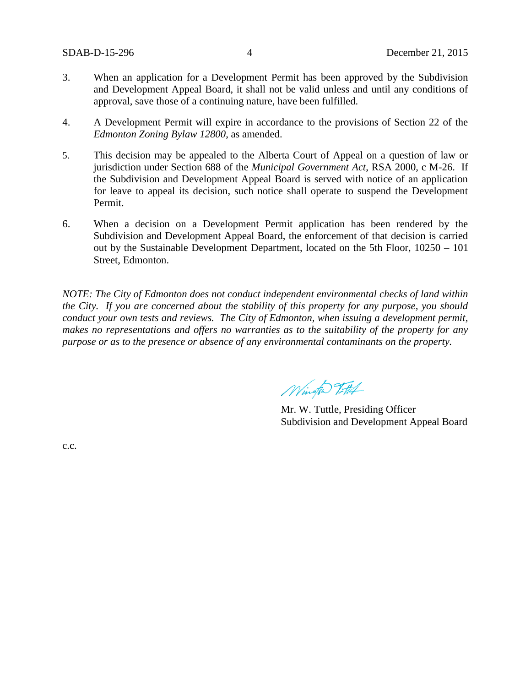- 3. When an application for a Development Permit has been approved by the Subdivision and Development Appeal Board, it shall not be valid unless and until any conditions of approval, save those of a continuing nature, have been fulfilled.
- 4. A Development Permit will expire in accordance to the provisions of Section 22 of the *Edmonton Zoning Bylaw 12800*, as amended.
- 5. This decision may be appealed to the Alberta Court of Appeal on a question of law or jurisdiction under Section 688 of the *Municipal Government Act*, RSA 2000, c M-26. If the Subdivision and Development Appeal Board is served with notice of an application for leave to appeal its decision, such notice shall operate to suspend the Development Permit.
- 6. When a decision on a Development Permit application has been rendered by the Subdivision and Development Appeal Board, the enforcement of that decision is carried out by the Sustainable Development Department, located on the 5th Floor, 10250 – 101 Street, Edmonton.

*NOTE: The City of Edmonton does not conduct independent environmental checks of land within the City. If you are concerned about the stability of this property for any purpose, you should conduct your own tests and reviews. The City of Edmonton, when issuing a development permit, makes no representations and offers no warranties as to the suitability of the property for any purpose or as to the presence or absence of any environmental contaminants on the property.*

Winter Titth

Mr. W. Tuttle, Presiding Officer Subdivision and Development Appeal Board

c.c.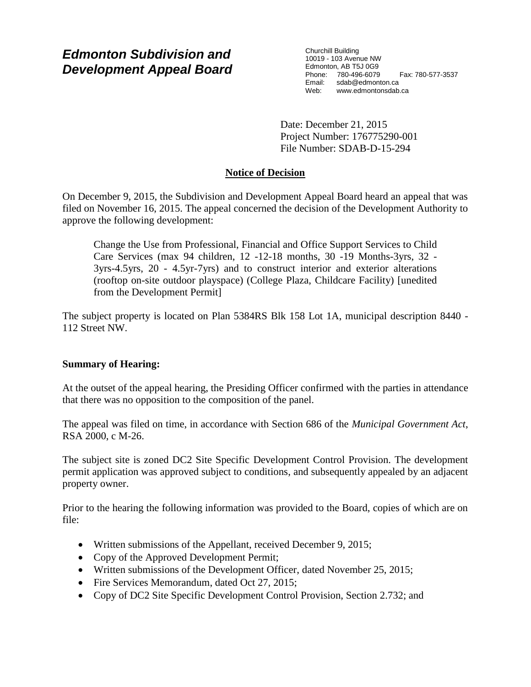# *Edmonton Subdivision and Development Appeal Board*

Churchill Building 10019 - 103 Avenue NW Edmonton, AB T5J 0G9 Phone: 780-496-6079 Fax: 780-577-3537 Email: sdab@edmonton.ca<br>Web: www.edmonton.ca Web: www.edmontonsdab.ca

Date: December 21, 2015 Project Number: 176775290-001 File Number: SDAB-D-15-294

# **Notice of Decision**

On December 9, 2015, the Subdivision and Development Appeal Board heard an appeal that was filed on November 16, 2015. The appeal concerned the decision of the Development Authority to approve the following development:

Change the Use from Professional, Financial and Office Support Services to Child Care Services (max 94 children, 12 -12-18 months, 30 -19 Months-3yrs, 32 - 3yrs-4.5yrs, 20 - 4.5yr-7yrs) and to construct interior and exterior alterations (rooftop on-site outdoor playspace) (College Plaza, Childcare Facility) [unedited from the Development Permit]

The subject property is located on Plan 5384RS Blk 158 Lot 1A, municipal description 8440 - 112 Street NW.

# **Summary of Hearing:**

At the outset of the appeal hearing, the Presiding Officer confirmed with the parties in attendance that there was no opposition to the composition of the panel.

The appeal was filed on time, in accordance with Section 686 of the *Municipal Government Act*, RSA 2000, c M-26.

The subject site is zoned DC2 Site Specific Development Control Provision. The development permit application was approved subject to conditions, and subsequently appealed by an adjacent property owner.

Prior to the hearing the following information was provided to the Board, copies of which are on file:

- Written submissions of the Appellant, received December 9, 2015;
- Copy of the Approved Development Permit;
- Written submissions of the Development Officer, dated November 25, 2015;
- Fire Services Memorandum, dated Oct 27, 2015;
- Copy of DC2 Site Specific Development Control Provision, Section 2.732; and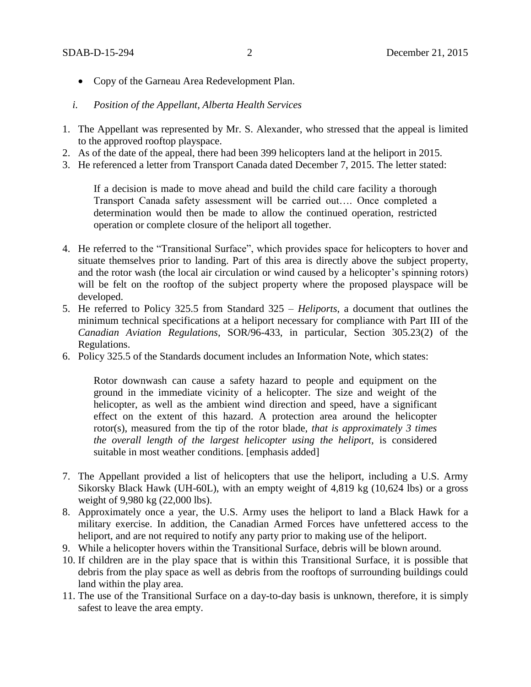- Copy of the Garneau Area Redevelopment Plan.
- *i. Position of the Appellant, Alberta Health Services*
- 1. The Appellant was represented by Mr. S. Alexander, who stressed that the appeal is limited to the approved rooftop playspace.
- 2. As of the date of the appeal, there had been 399 helicopters land at the heliport in 2015.
- 3. He referenced a letter from Transport Canada dated December 7, 2015. The letter stated:

If a decision is made to move ahead and build the child care facility a thorough Transport Canada safety assessment will be carried out…. Once completed a determination would then be made to allow the continued operation, restricted operation or complete closure of the heliport all together.

- 4. He referred to the "Transitional Surface", which provides space for helicopters to hover and situate themselves prior to landing. Part of this area is directly above the subject property, and the rotor wash (the local air circulation or wind caused by a helicopter's spinning rotors) will be felt on the rooftop of the subject property where the proposed playspace will be developed.
- 5. He referred to Policy 325.5 from Standard 325 *Heliports*, a document that outlines the minimum technical specifications at a heliport necessary for compliance with Part III of the *Canadian Aviation Regulations*, SOR/96-433, in particular, Section 305.23(2) of the Regulations.
- 6. Policy 325.5 of the Standards document includes an Information Note, which states:

Rotor downwash can cause a safety hazard to people and equipment on the ground in the immediate vicinity of a helicopter. The size and weight of the helicopter, as well as the ambient wind direction and speed, have a significant effect on the extent of this hazard. A protection area around the helicopter rotor(s), measured from the tip of the rotor blade, *that is approximately 3 times the overall length of the largest helicopter using the heliport,* is considered suitable in most weather conditions. [emphasis added]

- 7. The Appellant provided a list of helicopters that use the heliport, including a U.S. Army Sikorsky Black Hawk (UH-60L), with an empty weight of 4,819 kg (10,624 lbs) or a gross weight of 9,980 kg (22,000 lbs).
- 8. Approximately once a year, the U.S. Army uses the heliport to land a Black Hawk for a military exercise. In addition, the Canadian Armed Forces have unfettered access to the heliport, and are not required to notify any party prior to making use of the heliport.
- 9. While a helicopter hovers within the Transitional Surface, debris will be blown around.
- 10. If children are in the play space that is within this Transitional Surface, it is possible that debris from the play space as well as debris from the rooftops of surrounding buildings could land within the play area.
- 11. The use of the Transitional Surface on a day-to-day basis is unknown, therefore, it is simply safest to leave the area empty.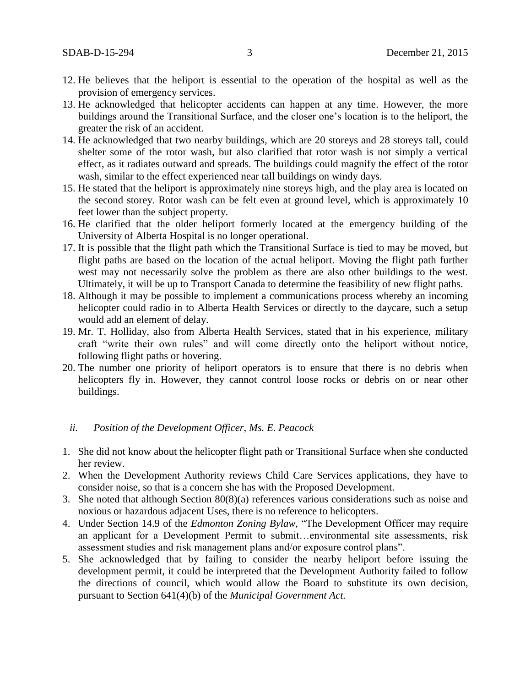- 12. He believes that the heliport is essential to the operation of the hospital as well as the provision of emergency services.
- 13. He acknowledged that helicopter accidents can happen at any time. However, the more buildings around the Transitional Surface, and the closer one's location is to the heliport, the greater the risk of an accident.
- 14. He acknowledged that two nearby buildings, which are 20 storeys and 28 storeys tall, could shelter some of the rotor wash, but also clarified that rotor wash is not simply a vertical effect, as it radiates outward and spreads. The buildings could magnify the effect of the rotor wash, similar to the effect experienced near tall buildings on windy days.
- 15. He stated that the heliport is approximately nine storeys high, and the play area is located on the second storey. Rotor wash can be felt even at ground level, which is approximately 10 feet lower than the subject property.
- 16. He clarified that the older heliport formerly located at the emergency building of the University of Alberta Hospital is no longer operational.
- 17. It is possible that the flight path which the Transitional Surface is tied to may be moved, but flight paths are based on the location of the actual heliport. Moving the flight path further west may not necessarily solve the problem as there are also other buildings to the west. Ultimately, it will be up to Transport Canada to determine the feasibility of new flight paths.
- 18. Although it may be possible to implement a communications process whereby an incoming helicopter could radio in to Alberta Health Services or directly to the daycare, such a setup would add an element of delay.
- 19. Mr. T. Holliday, also from Alberta Health Services, stated that in his experience, military craft "write their own rules" and will come directly onto the heliport without notice, following flight paths or hovering.
- 20. The number one priority of heliport operators is to ensure that there is no debris when helicopters fly in. However, they cannot control loose rocks or debris on or near other buildings.

### *ii. Position of the Development Officer, Ms. E. Peacock*

- 1. She did not know about the helicopter flight path or Transitional Surface when she conducted her review.
- 2. When the Development Authority reviews Child Care Services applications, they have to consider noise, so that is a concern she has with the Proposed Development.
- 3. She noted that although Section 80(8)(a) references various considerations such as noise and noxious or hazardous adjacent Uses, there is no reference to helicopters.
- 4. Under Section 14.9 of the *Edmonton Zoning Bylaw,* "The Development Officer may require an applicant for a Development Permit to submit…environmental site assessments, risk assessment studies and risk management plans and/or exposure control plans".
- 5. She acknowledged that by failing to consider the nearby heliport before issuing the development permit, it could be interpreted that the Development Authority failed to follow the directions of council, which would allow the Board to substitute its own decision, pursuant to Section 641(4)(b) of the *Municipal Government Act.*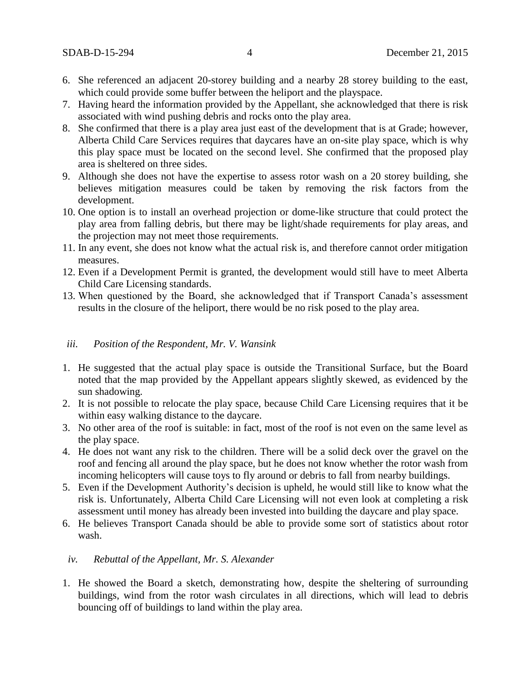- 6. She referenced an adjacent 20-storey building and a nearby 28 storey building to the east, which could provide some buffer between the heliport and the playspace.
- 7. Having heard the information provided by the Appellant, she acknowledged that there is risk associated with wind pushing debris and rocks onto the play area.
- 8. She confirmed that there is a play area just east of the development that is at Grade; however, Alberta Child Care Services requires that daycares have an on-site play space, which is why this play space must be located on the second level. She confirmed that the proposed play area is sheltered on three sides.
- 9. Although she does not have the expertise to assess rotor wash on a 20 storey building, she believes mitigation measures could be taken by removing the risk factors from the development.
- 10. One option is to install an overhead projection or dome-like structure that could protect the play area from falling debris, but there may be light/shade requirements for play areas, and the projection may not meet those requirements.
- 11. In any event, she does not know what the actual risk is, and therefore cannot order mitigation measures.
- 12. Even if a Development Permit is granted, the development would still have to meet Alberta Child Care Licensing standards.
- 13. When questioned by the Board, she acknowledged that if Transport Canada's assessment results in the closure of the heliport, there would be no risk posed to the play area.

# *iii. Position of the Respondent, Mr. V. Wansink*

- 1. He suggested that the actual play space is outside the Transitional Surface, but the Board noted that the map provided by the Appellant appears slightly skewed, as evidenced by the sun shadowing.
- 2. It is not possible to relocate the play space, because Child Care Licensing requires that it be within easy walking distance to the daycare.
- 3. No other area of the roof is suitable: in fact, most of the roof is not even on the same level as the play space.
- 4. He does not want any risk to the children. There will be a solid deck over the gravel on the roof and fencing all around the play space, but he does not know whether the rotor wash from incoming helicopters will cause toys to fly around or debris to fall from nearby buildings.
- 5. Even if the Development Authority's decision is upheld, he would still like to know what the risk is. Unfortunately, Alberta Child Care Licensing will not even look at completing a risk assessment until money has already been invested into building the daycare and play space.
- 6. He believes Transport Canada should be able to provide some sort of statistics about rotor wash.

# *iv. Rebuttal of the Appellant, Mr. S. Alexander*

1. He showed the Board a sketch, demonstrating how, despite the sheltering of surrounding buildings, wind from the rotor wash circulates in all directions, which will lead to debris bouncing off of buildings to land within the play area.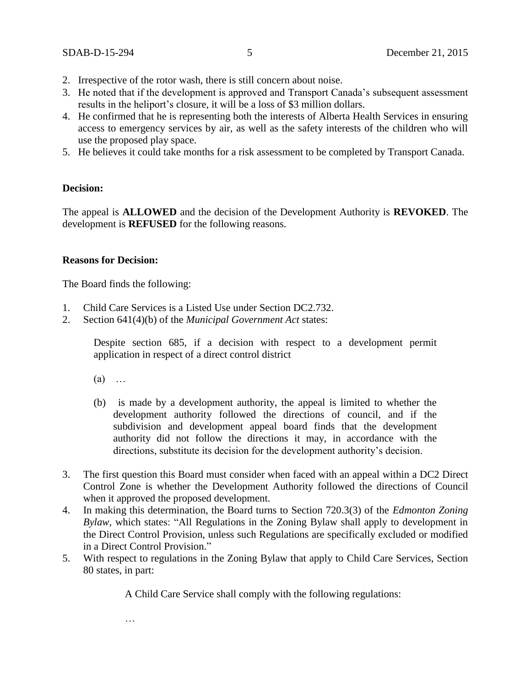- 2. Irrespective of the rotor wash, there is still concern about noise.
- 3. He noted that if the development is approved and Transport Canada's subsequent assessment results in the heliport's closure, it will be a loss of \$3 million dollars.
- 4. He confirmed that he is representing both the interests of Alberta Health Services in ensuring access to emergency services by air, as well as the safety interests of the children who will use the proposed play space.
- 5. He believes it could take months for a risk assessment to be completed by Transport Canada.

## **Decision:**

The appeal is **ALLOWED** and the decision of the Development Authority is **REVOKED**. The development is **REFUSED** for the following reasons.

## **Reasons for Decision:**

The Board finds the following:

- 1. Child Care Services is a Listed Use under Section DC2.732.
- 2. Section 641(4)(b) of the *Municipal Government Act* states:

Despite section 685, if a decision with respect to a development permit application in respect of a direct control district

- $(a)$  …
- (b) is made by a development authority, the appeal is limited to whether the development authority followed the directions of council, and if the subdivision and development appeal board finds that the development authority did not follow the directions it may, in accordance with the directions, substitute its decision for the development authority's decision.
- 3. The first question this Board must consider when faced with an appeal within a DC2 Direct Control Zone is whether the Development Authority followed the directions of Council when it approved the proposed development.
- 4. In making this determination, the Board turns to Section 720.3(3) of the *Edmonton Zoning Bylaw,* which states: "All Regulations in the Zoning Bylaw shall apply to development in the Direct Control Provision, unless such Regulations are specifically excluded or modified in a Direct Control Provision."
- 5. With respect to regulations in the Zoning Bylaw that apply to Child Care Services, Section 80 states, in part:

A Child Care Service shall comply with the following regulations:

…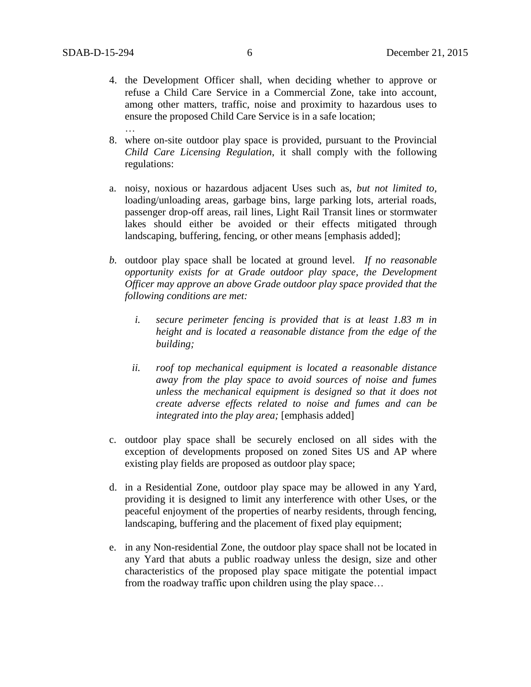- 4. the Development Officer shall, when deciding whether to approve or refuse a Child Care Service in a Commercial Zone, take into account, among other matters, traffic, noise and proximity to hazardous uses to ensure the proposed Child Care Service is in a safe location; …
- 8. where on-site outdoor play space is provided, pursuant to the Provincial *Child Care Licensing Regulation*, it shall comply with the following regulations:
- a. noisy, noxious or hazardous adjacent Uses such as, *but not limited to,* loading/unloading areas, garbage bins, large parking lots, arterial roads, passenger drop-off areas, rail lines, Light Rail Transit lines or stormwater lakes should either be avoided or their effects mitigated through landscaping, buffering, fencing, or other means [emphasis added];
- *b.* outdoor play space shall be located at ground level. *If no reasonable opportunity exists for at Grade outdoor play space, the Development Officer may approve an above Grade outdoor play space provided that the following conditions are met:*
	- *i. secure perimeter fencing is provided that is at least 1.83 m in height and is located a reasonable distance from the edge of the building;*
	- *ii. roof top mechanical equipment is located a reasonable distance away from the play space to avoid sources of noise and fumes unless the mechanical equipment is designed so that it does not create adverse effects related to noise and fumes and can be integrated into the play area;* [emphasis added]
- c. outdoor play space shall be securely enclosed on all sides with the exception of developments proposed on zoned Sites US and AP where existing play fields are proposed as outdoor play space;
- d. in a Residential Zone, outdoor play space may be allowed in any Yard, providing it is designed to limit any interference with other Uses, or the peaceful enjoyment of the properties of nearby residents, through fencing, landscaping, buffering and the placement of fixed play equipment;
- e. in any Non-residential Zone, the outdoor play space shall not be located in any Yard that abuts a public roadway unless the design, size and other characteristics of the proposed play space mitigate the potential impact from the roadway traffic upon children using the play space…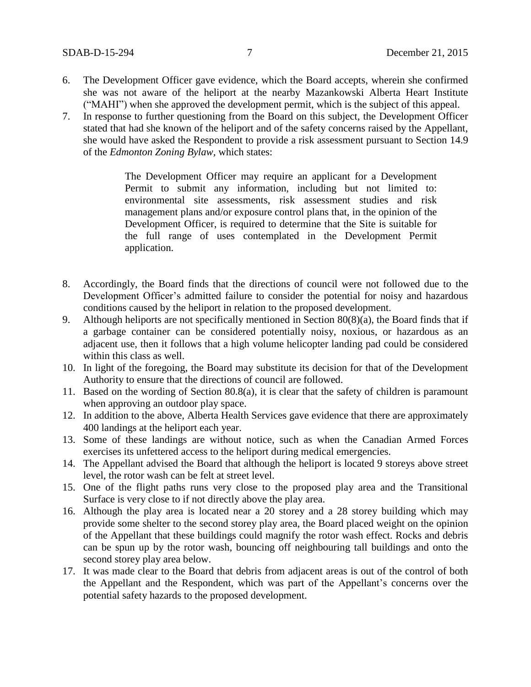- 6. The Development Officer gave evidence, which the Board accepts, wherein she confirmed she was not aware of the heliport at the nearby Mazankowski Alberta Heart Institute ("MAHI") when she approved the development permit, which is the subject of this appeal.
- 7. In response to further questioning from the Board on this subject, the Development Officer stated that had she known of the heliport and of the safety concerns raised by the Appellant, she would have asked the Respondent to provide a risk assessment pursuant to Section 14.9 of the *Edmonton Zoning Bylaw,* which states:

The Development Officer may require an applicant for a Development Permit to submit any information, including but not limited to: environmental site assessments, risk assessment studies and risk management plans and/or exposure control plans that, in the opinion of the Development Officer, is required to determine that the Site is suitable for the full range of uses contemplated in the Development Permit application.

- 8. Accordingly, the Board finds that the directions of council were not followed due to the Development Officer's admitted failure to consider the potential for noisy and hazardous conditions caused by the heliport in relation to the proposed development.
- 9. Although heliports are not specifically mentioned in Section  $80(8)(a)$ , the Board finds that if a garbage container can be considered potentially noisy, noxious, or hazardous as an adjacent use, then it follows that a high volume helicopter landing pad could be considered within this class as well.
- 10. In light of the foregoing, the Board may substitute its decision for that of the Development Authority to ensure that the directions of council are followed.
- 11. Based on the wording of Section 80.8(a), it is clear that the safety of children is paramount when approving an outdoor play space.
- 12. In addition to the above, Alberta Health Services gave evidence that there are approximately 400 landings at the heliport each year.
- 13. Some of these landings are without notice, such as when the Canadian Armed Forces exercises its unfettered access to the heliport during medical emergencies.
- 14. The Appellant advised the Board that although the heliport is located 9 storeys above street level, the rotor wash can be felt at street level.
- 15. One of the flight paths runs very close to the proposed play area and the Transitional Surface is very close to if not directly above the play area.
- 16. Although the play area is located near a 20 storey and a 28 storey building which may provide some shelter to the second storey play area, the Board placed weight on the opinion of the Appellant that these buildings could magnify the rotor wash effect. Rocks and debris can be spun up by the rotor wash, bouncing off neighbouring tall buildings and onto the second storey play area below.
- 17. It was made clear to the Board that debris from adjacent areas is out of the control of both the Appellant and the Respondent, which was part of the Appellant's concerns over the potential safety hazards to the proposed development.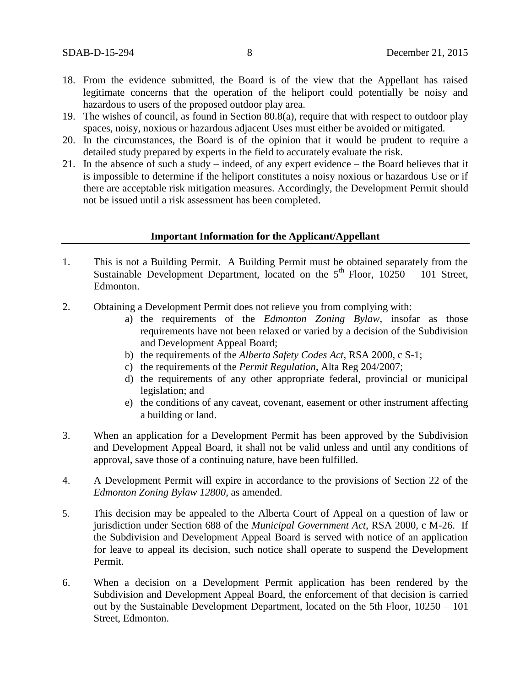- 18. From the evidence submitted, the Board is of the view that the Appellant has raised legitimate concerns that the operation of the heliport could potentially be noisy and hazardous to users of the proposed outdoor play area.
- 19. The wishes of council, as found in Section 80.8(a), require that with respect to outdoor play spaces, noisy, noxious or hazardous adjacent Uses must either be avoided or mitigated.
- 20. In the circumstances, the Board is of the opinion that it would be prudent to require a detailed study prepared by experts in the field to accurately evaluate the risk.
- 21. In the absence of such a study indeed, of any expert evidence the Board believes that it is impossible to determine if the heliport constitutes a noisy noxious or hazardous Use or if there are acceptable risk mitigation measures. Accordingly, the Development Permit should not be issued until a risk assessment has been completed.

### **Important Information for the Applicant/Appellant**

- 1. This is not a Building Permit. A Building Permit must be obtained separately from the Sustainable Development Department, located on the  $5<sup>th</sup>$  Floor,  $10250 - 101$  Street, Edmonton.
- 2. Obtaining a Development Permit does not relieve you from complying with:
	- a) the requirements of the *Edmonton Zoning Bylaw*, insofar as those requirements have not been relaxed or varied by a decision of the Subdivision and Development Appeal Board;
	- b) the requirements of the *Alberta Safety Codes Act*, RSA 2000, c S-1;
	- c) the requirements of the *Permit Regulation*, Alta Reg 204/2007;
	- d) the requirements of any other appropriate federal, provincial or municipal legislation; and
	- e) the conditions of any caveat, covenant, easement or other instrument affecting a building or land.
- 3. When an application for a Development Permit has been approved by the Subdivision and Development Appeal Board, it shall not be valid unless and until any conditions of approval, save those of a continuing nature, have been fulfilled.
- 4. A Development Permit will expire in accordance to the provisions of Section 22 of the *Edmonton Zoning Bylaw 12800*, as amended.
- 5. This decision may be appealed to the Alberta Court of Appeal on a question of law or jurisdiction under Section 688 of the *Municipal Government Act*, RSA 2000, c M-26. If the Subdivision and Development Appeal Board is served with notice of an application for leave to appeal its decision, such notice shall operate to suspend the Development Permit.
- 6. When a decision on a Development Permit application has been rendered by the Subdivision and Development Appeal Board, the enforcement of that decision is carried out by the Sustainable Development Department, located on the 5th Floor, 10250 – 101 Street, Edmonton.